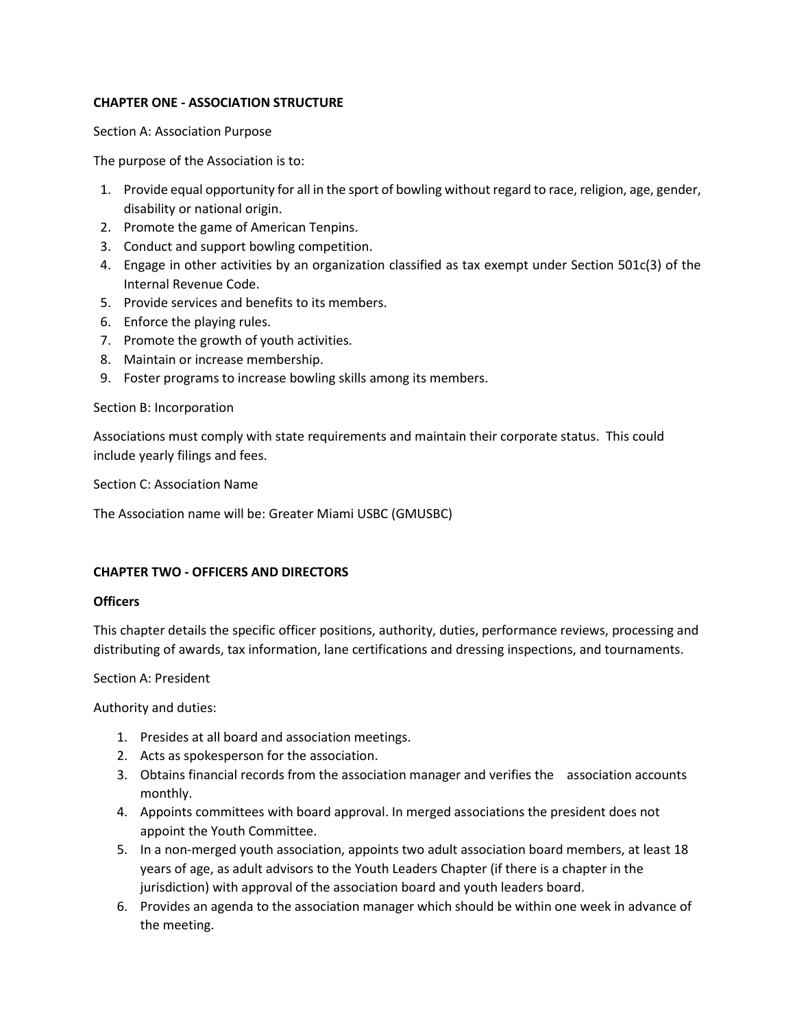## **CHAPTER ONE - ASSOCIATION STRUCTURE**

Section A: Association Purpose

The purpose of the Association is to:

- 1. Provide equal opportunity for all in the sport of bowling without regard to race, religion, age, gender, disability or national origin.
- 2. Promote the game of American Tenpins.
- 3. Conduct and support bowling competition.
- 4. Engage in other activities by an organization classified as tax exempt under Section 501c(3) of the Internal Revenue Code.
- 5. Provide services and benefits to its members.
- 6. Enforce the playing rules.
- 7. Promote the growth of youth activities.
- 8. Maintain or increase membership.
- 9. Foster programs to increase bowling skills among its members.

### Section B: Incorporation

Associations must comply with state requirements and maintain their corporate status. This could include yearly filings and fees.

Section C: Association Name

The Association name will be: Greater Miami USBC (GMUSBC)

## **CHAPTER TWO - OFFICERS AND DIRECTORS**

## **Officers**

This chapter details the specific officer positions, authority, duties, performance reviews, processing and distributing of awards, tax information, lane certifications and dressing inspections, and tournaments.

Section A: President

Authority and duties:

- 1. Presides at all board and association meetings.
- 2. Acts as spokesperson for the association.
- 3. Obtains financial records from the association manager and verifies the association accounts monthly.
- 4. Appoints committees with board approval. In merged associations the president does not appoint the Youth Committee.
- 5. In a non-merged youth association, appoints two adult association board members, at least 18 years of age, as adult advisors to the Youth Leaders Chapter (if there is a chapter in the jurisdiction) with approval of the association board and youth leaders board.
- 6. Provides an agenda to the association manager which should be within one week in advance of the meeting.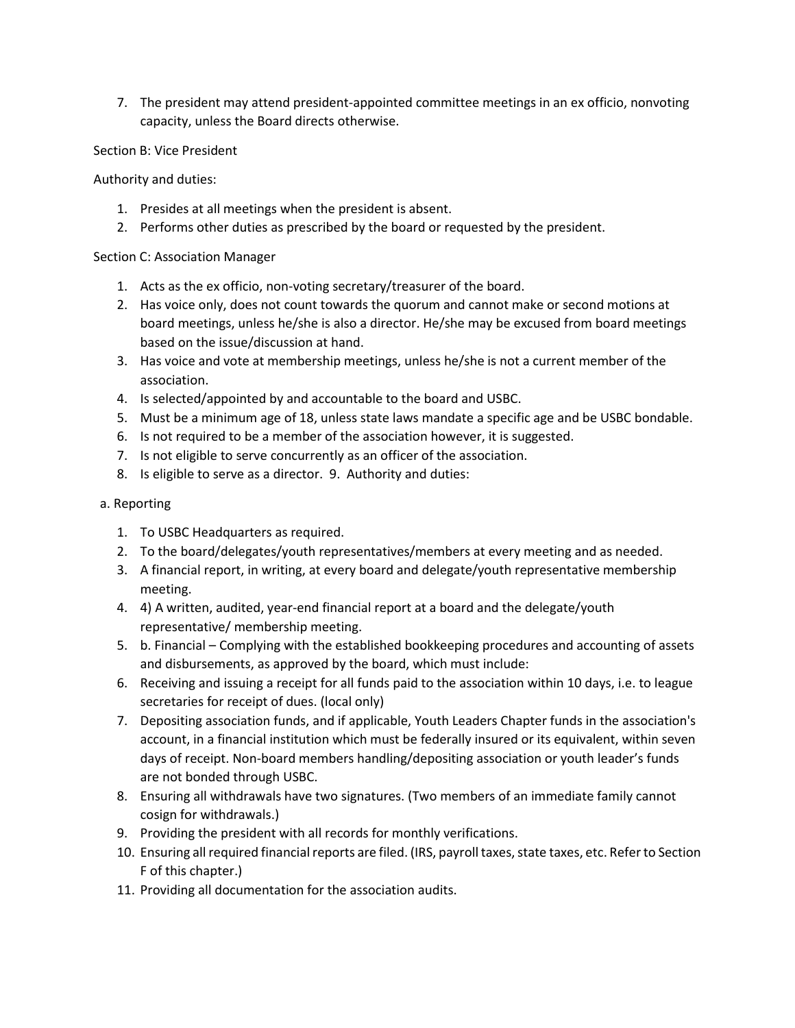7. The president may attend president-appointed committee meetings in an ex officio, nonvoting capacity, unless the Board directs otherwise.

Section B: Vice President

Authority and duties:

- 1. Presides at all meetings when the president is absent.
- 2. Performs other duties as prescribed by the board or requested by the president.

## Section C: Association Manager

- 1. Acts as the ex officio, non-voting secretary/treasurer of the board.
- 2. Has voice only, does not count towards the quorum and cannot make or second motions at board meetings, unless he/she is also a director. He/she may be excused from board meetings based on the issue/discussion at hand.
- 3. Has voice and vote at membership meetings, unless he/she is not a current member of the association.
- 4. Is selected/appointed by and accountable to the board and USBC.
- 5. Must be a minimum age of 18, unless state laws mandate a specific age and be USBC bondable.
- 6. Is not required to be a member of the association however, it is suggested.
- 7. Is not eligible to serve concurrently as an officer of the association.
- 8. Is eligible to serve as a director. 9. Authority and duties:

# a. Reporting

- 1. To USBC Headquarters as required.
- 2. To the board/delegates/youth representatives/members at every meeting and as needed.
- 3. A financial report, in writing, at every board and delegate/youth representative membership meeting.
- 4. 4) A written, audited, year-end financial report at a board and the delegate/youth representative/ membership meeting.
- 5. b. Financial Complying with the established bookkeeping procedures and accounting of assets and disbursements, as approved by the board, which must include:
- 6. Receiving and issuing a receipt for all funds paid to the association within 10 days, i.e. to league secretaries for receipt of dues. (local only)
- 7. Depositing association funds, and if applicable, Youth Leaders Chapter funds in the association's account, in a financial institution which must be federally insured or its equivalent, within seven days of receipt. Non-board members handling/depositing association or youth leader's funds are not bonded through USBC.
- 8. Ensuring all withdrawals have two signatures. (Two members of an immediate family cannot cosign for withdrawals.)
- 9. Providing the president with all records for monthly verifications.
- 10. Ensuring all required financial reports are filed. (IRS, payroll taxes, state taxes, etc. Refer to Section F of this chapter.)
- 11. Providing all documentation for the association audits.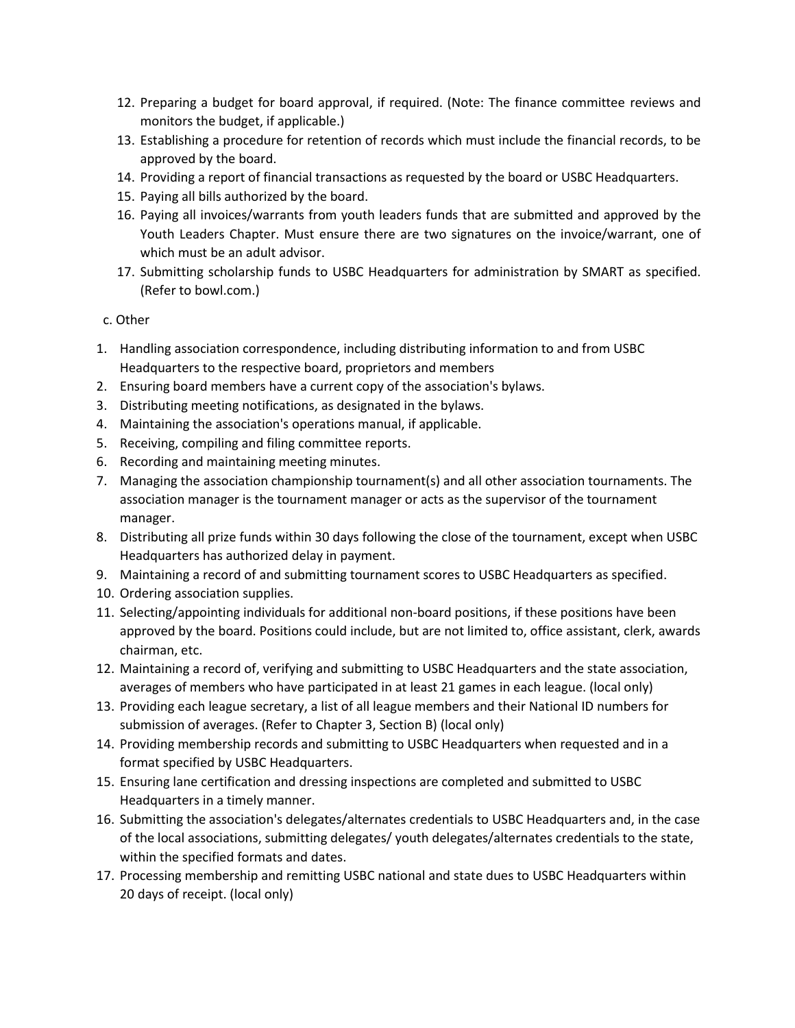- 12. Preparing a budget for board approval, if required. (Note: The finance committee reviews and monitors the budget, if applicable.)
- 13. Establishing a procedure for retention of records which must include the financial records, to be approved by the board.
- 14. Providing a report of financial transactions as requested by the board or USBC Headquarters.
- 15. Paying all bills authorized by the board.
- 16. Paying all invoices/warrants from youth leaders funds that are submitted and approved by the Youth Leaders Chapter. Must ensure there are two signatures on the invoice/warrant, one of which must be an adult advisor.
- 17. Submitting scholarship funds to USBC Headquarters for administration by SMART as specified. (Refer to bowl.com.)
- c. Other
- 1. Handling association correspondence, including distributing information to and from USBC Headquarters to the respective board, proprietors and members
- 2. Ensuring board members have a current copy of the association's bylaws.
- 3. Distributing meeting notifications, as designated in the bylaws.
- 4. Maintaining the association's operations manual, if applicable.
- 5. Receiving, compiling and filing committee reports.
- 6. Recording and maintaining meeting minutes.
- 7. Managing the association championship tournament(s) and all other association tournaments. The association manager is the tournament manager or acts as the supervisor of the tournament manager.
- 8. Distributing all prize funds within 30 days following the close of the tournament, except when USBC Headquarters has authorized delay in payment.
- 9. Maintaining a record of and submitting tournament scores to USBC Headquarters as specified.
- 10. Ordering association supplies.
- 11. Selecting/appointing individuals for additional non-board positions, if these positions have been approved by the board. Positions could include, but are not limited to, office assistant, clerk, awards chairman, etc.
- 12. Maintaining a record of, verifying and submitting to USBC Headquarters and the state association, averages of members who have participated in at least 21 games in each league. (local only)
- 13. Providing each league secretary, a list of all league members and their National ID numbers for submission of averages. (Refer to Chapter 3, Section B) (local only)
- 14. Providing membership records and submitting to USBC Headquarters when requested and in a format specified by USBC Headquarters.
- 15. Ensuring lane certification and dressing inspections are completed and submitted to USBC Headquarters in a timely manner.
- 16. Submitting the association's delegates/alternates credentials to USBC Headquarters and, in the case of the local associations, submitting delegates/ youth delegates/alternates credentials to the state, within the specified formats and dates.
- 17. Processing membership and remitting USBC national and state dues to USBC Headquarters within 20 days of receipt. (local only)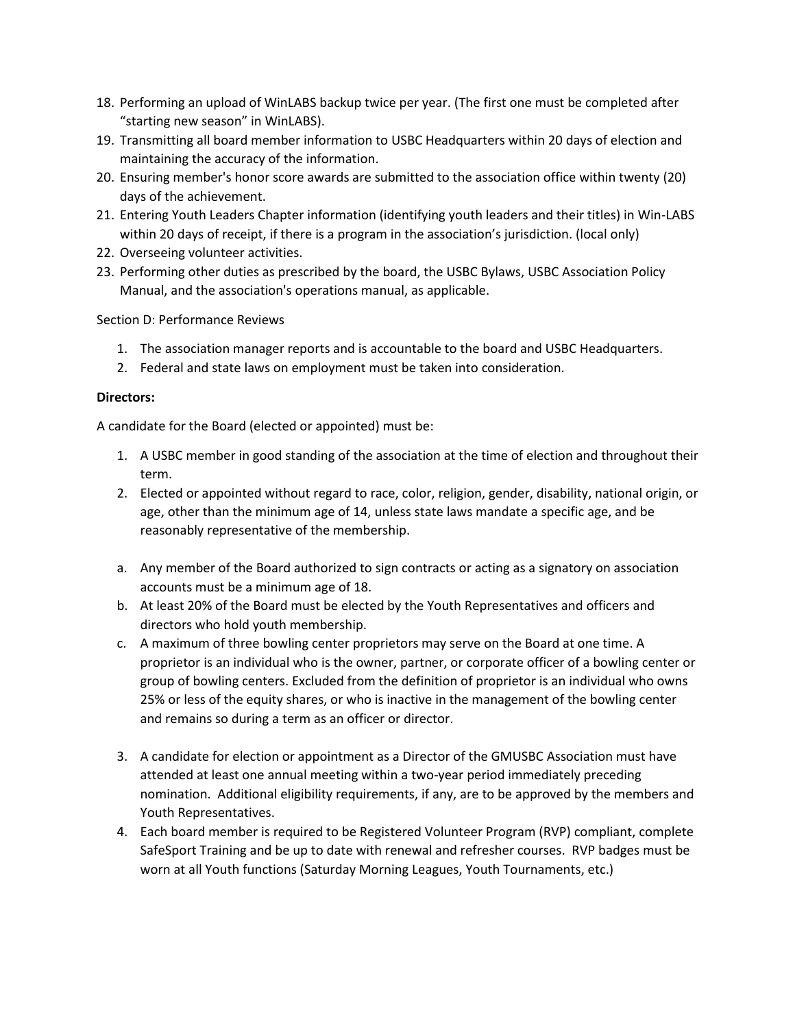- 18. Performing an upload of WinLABS backup twice per year. (The first one must be completed after "starting new season" in WinLABS).
- 19. Transmitting all board member information to USBC Headquarters within 20 days of election and maintaining the accuracy of the information.
- 20. Ensuring member's honor score awards are submitted to the association office within twenty (20) days of the achievement.
- 21. Entering Youth Leaders Chapter information (identifying youth leaders and their titles) in Win-LABS within 20 days of receipt, if there is a program in the association's jurisdiction. (local only)
- 22. Overseeing volunteer activities.
- 23. Performing other duties as prescribed by the board, the USBC Bylaws, USBC Association Policy Manual, and the association's operations manual, as applicable.

Section D: Performance Reviews

- 1. The association manager reports and is accountable to the board and USBC Headquarters.
- 2. Federal and state laws on employment must be taken into consideration.

### **Directors:**

A candidate for the Board (elected or appointed) must be:

- 1. A USBC member in good standing of the association at the time of election and throughout their term.
- 2. Elected or appointed without regard to race, color, religion, gender, disability, national origin, or age, other than the minimum age of 14, unless state laws mandate a specific age, and be reasonably representative of the membership.
- a. Any member of the Board authorized to sign contracts or acting as a signatory on association accounts must be a minimum age of 18.
- b. At least 20% of the Board must be elected by the Youth Representatives and officers and directors who hold youth membership.
- c. A maximum of three bowling center proprietors may serve on the Board at one time. A proprietor is an individual who is the owner, partner, or corporate officer of a bowling center or group of bowling centers. Excluded from the definition of proprietor is an individual who owns 25% or less of the equity shares, or who is inactive in the management of the bowling center and remains so during a term as an officer or director.
- 3. A candidate for election or appointment as a Director of the GMUSBC Association must have attended at least one annual meeting within a two-year period immediately preceding nomination. Additional eligibility requirements, if any, are to be approved by the members and Youth Representatives.
- 4. Each board member is required to be Registered Volunteer Program (RVP) compliant, complete SafeSport Training and be up to date with renewal and refresher courses. RVP badges must be worn at all Youth functions (Saturday Morning Leagues, Youth Tournaments, etc.)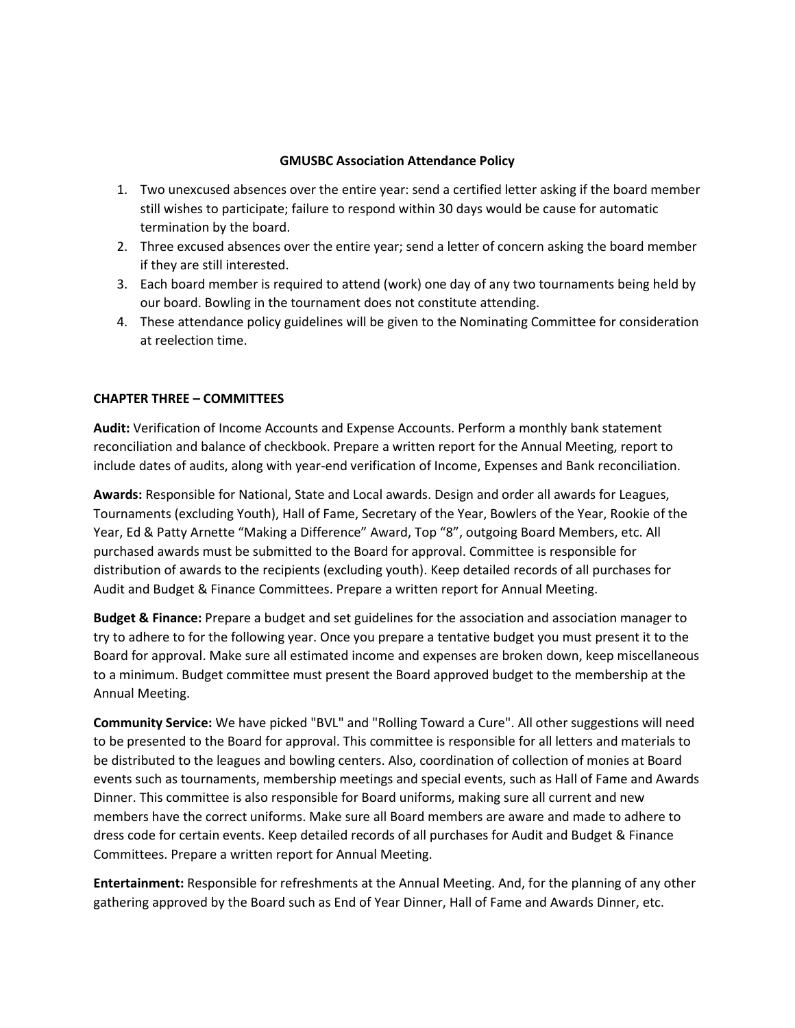### **GMUSBC Association Attendance Policy**

- 1. Two unexcused absences over the entire year: send a certified letter asking if the board member still wishes to participate; failure to respond within 30 days would be cause for automatic termination by the board.
- 2. Three excused absences over the entire year; send a letter of concern asking the board member if they are still interested.
- 3. Each board member is required to attend (work) one day of any two tournaments being held by our board. Bowling in the tournament does not constitute attending.
- 4. These attendance policy guidelines will be given to the Nominating Committee for consideration at reelection time.

## **CHAPTER THREE – COMMITTEES**

**Audit:** Verification of Income Accounts and Expense Accounts. Perform a monthly bank statement reconciliation and balance of checkbook. Prepare a written report for the Annual Meeting, report to include dates of audits, along with year-end verification of Income, Expenses and Bank reconciliation.

**Awards:** Responsible for National, State and Local awards. Design and order all awards for Leagues, Tournaments (excluding Youth), Hall of Fame, Secretary of the Year, Bowlers of the Year, Rookie of the Year, Ed & Patty Arnette "Making a Difference" Award, Top "8", outgoing Board Members, etc. All purchased awards must be submitted to the Board for approval. Committee is responsible for distribution of awards to the recipients (excluding youth). Keep detailed records of all purchases for Audit and Budget & Finance Committees. Prepare a written report for Annual Meeting.

**Budget & Finance:** Prepare a budget and set guidelines for the association and association manager to try to adhere to for the following year. Once you prepare a tentative budget you must present it to the Board for approval. Make sure all estimated income and expenses are broken down, keep miscellaneous to a minimum. Budget committee must present the Board approved budget to the membership at the Annual Meeting.

**Community Service:** We have picked "BVL" and "Rolling Toward a Cure". All other suggestions will need to be presented to the Board for approval. This committee is responsible for all letters and materials to be distributed to the leagues and bowling centers. Also, coordination of collection of monies at Board events such as tournaments, membership meetings and special events, such as Hall of Fame and Awards Dinner. This committee is also responsible for Board uniforms, making sure all current and new members have the correct uniforms. Make sure all Board members are aware and made to adhere to dress code for certain events. Keep detailed records of all purchases for Audit and Budget & Finance Committees. Prepare a written report for Annual Meeting.

**Entertainment:** Responsible for refreshments at the Annual Meeting. And, for the planning of any other gathering approved by the Board such as End of Year Dinner, Hall of Fame and Awards Dinner, etc.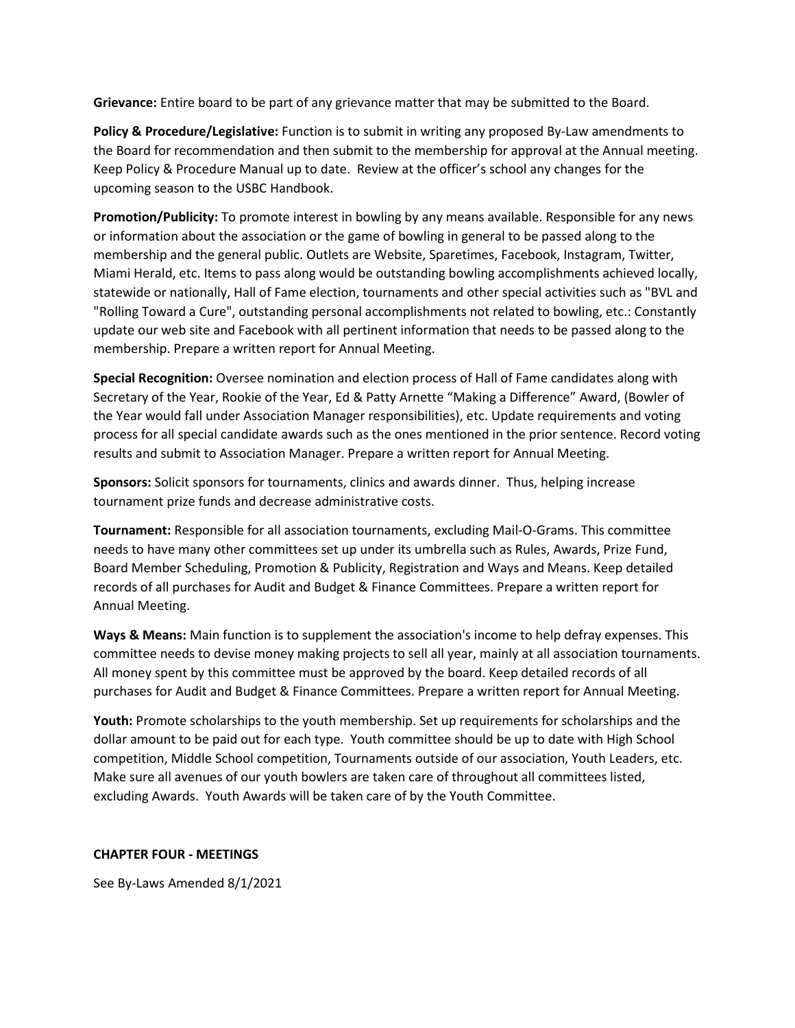**Grievance:** Entire board to be part of any grievance matter that may be submitted to the Board.

**Policy & Procedure/Legislative:** Function is to submit in writing any proposed By-Law amendments to the Board for recommendation and then submit to the membership for approval at the Annual meeting. Keep Policy & Procedure Manual up to date. Review at the officer's school any changes for the upcoming season to the USBC Handbook.

**Promotion/Publicity:** To promote interest in bowling by any means available. Responsible for any news or information about the association or the game of bowling in general to be passed along to the membership and the general public. Outlets are Website, Sparetimes, Facebook, Instagram, Twitter, Miami Herald, etc. Items to pass along would be outstanding bowling accomplishments achieved locally, statewide or nationally, Hall of Fame election, tournaments and other special activities such as "BVL and "Rolling Toward a Cure", outstanding personal accomplishments not related to bowling, etc.: Constantly update our web site and Facebook with all pertinent information that needs to be passed along to the membership. Prepare a written report for Annual Meeting.

**Special Recognition:** Oversee nomination and election process of Hall of Fame candidates along with Secretary of the Year, Rookie of the Year, Ed & Patty Arnette "Making a Difference" Award, (Bowler of the Year would fall under Association Manager responsibilities), etc. Update requirements and voting process for all special candidate awards such as the ones mentioned in the prior sentence. Record voting results and submit to Association Manager. Prepare a written report for Annual Meeting.

**Sponsors:** Solicit sponsors for tournaments, clinics and awards dinner. Thus, helping increase tournament prize funds and decrease administrative costs.

**Tournament:** Responsible for all association tournaments, excluding Mail-O-Grams. This committee needs to have many other committees set up under its umbrella such as Rules, Awards, Prize Fund, Board Member Scheduling, Promotion & Publicity, Registration and Ways and Means. Keep detailed records of all purchases for Audit and Budget & Finance Committees. Prepare a written report for Annual Meeting.

**Ways & Means:** Main function is to supplement the association's income to help defray expenses. This committee needs to devise money making projects to sell all year, mainly at all association tournaments. All money spent by this committee must be approved by the board. Keep detailed records of all purchases for Audit and Budget & Finance Committees. Prepare a written report for Annual Meeting.

**Youth:** Promote scholarships to the youth membership. Set up requirements for scholarships and the dollar amount to be paid out for each type. Youth committee should be up to date with High School competition, Middle School competition, Tournaments outside of our association, Youth Leaders, etc. Make sure all avenues of our youth bowlers are taken care of throughout all committees listed, excluding Awards. Youth Awards will be taken care of by the Youth Committee.

#### **CHAPTER FOUR - MEETINGS**

See By-Laws Amended 8/1/2021